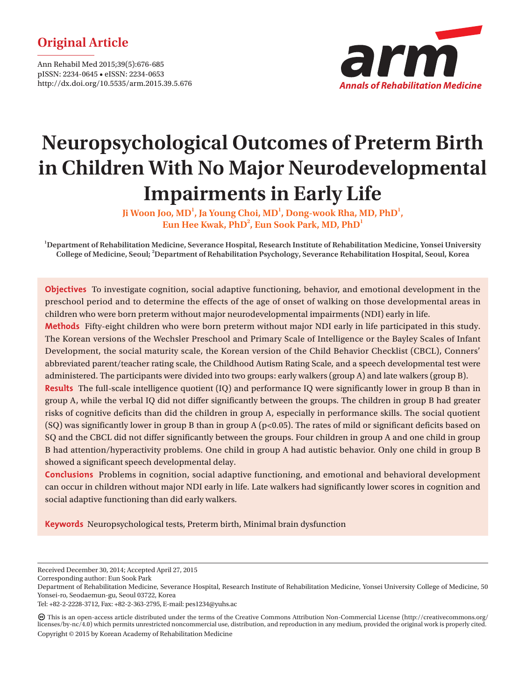# **Original Article**

Ann Rehabil Med 2015;39(5):676-685 pISSN: 2234-0645 • eISSN: 2234-0653 http://dx.doi.org/10.5535/arm.2015.39.5.676



# **Neuropsychological Outcomes of Preterm Birth in Children With No Major Neurodevelopmental Impairments in Early Life**

Ji Woon Joo, MD<sup>1</sup>, Ja Young Choi, MD<sup>1</sup>, Dong-wook Rha, MD, PhD<sup>1</sup>,  $\boldsymbol{\mathrm{Eun}}$  Hee Kwak, PhD $^2$ , Eun Sook Park, MD, PhD $^1$ 

**1 Department of Rehabilitation Medicine, Severance Hospital, Research Institute of Rehabilitation Medicine, Yonsei University College of Medicine, Seoul; 2 Department of Rehabilitation Psychology, Severance Rehabilitation Hospital, Seoul, Korea**

**Objectives** To investigate cognition, social adaptive functioning, behavior, and emotional development in the preschool period and to determine the effects of the age of onset of walking on those developmental areas in children who were born preterm without major neurodevelopmental impairments (NDI) early in life.

**Methods** Fifty-eight children who were born preterm without major NDI early in life participated in this study. The Korean versions of the Wechsler Preschool and Primary Scale of Intelligence or the Bayley Scales of Infant Development, the social maturity scale, the Korean version of the Child Behavior Checklist (CBCL), Conners' abbreviated parent/teacher rating scale, the Childhood Autism Rating Scale, and a speech developmental test were administered. The participants were divided into two groups: early walkers (group A) and late walkers (group B).

**Results** The full-scale intelligence quotient (IQ) and performance IQ were significantly lower in group B than in group A, while the verbal IQ did not differ significantly between the groups. The children in group B had greater risks of cognitive deficits than did the children in group A, especially in performance skills. The social quotient (SQ) was significantly lower in group B than in group A (p<0.05). The rates of mild or significant deficits based on SQ and the CBCL did not differ significantly between the groups. Four children in group A and one child in group B had attention/hyperactivity problems. One child in group A had autistic behavior. Only one child in group B showed a significant speech developmental delay.

**Conclusions** Problems in cognition, social adaptive functioning, and emotional and behavioral development can occur in children without major NDI early in life. Late walkers had significantly lower scores in cognition and social adaptive functioning than did early walkers.

**Keywords** Neuropsychological tests, Preterm birth, Minimal brain dysfunction

Corresponding author: Eun Sook Park

Received December 30, 2014; Accepted April 27, 2015

Department of Rehabilitation Medicine, Severance Hospital, Research Institute of Rehabilitation Medicine, Yonsei University College of Medicine, 50 Yonsei-ro, Seodaemun-gu, Seoul 03722, Korea

Tel: +82-2-2228-3712, Fax: +82-2-363-2795, E-mail: pes1234@yuhs.ac

This is an open-access article distributed under the terms of the Creative Commons Attribution Non-Commercial License (http://creativecommons.org/ licenses/by-nc/4.0) which permits unrestricted noncommercial use, distribution, and reproduction in any medium, provided the original work is properly cited. Copyright © 2015 by Korean Academy of Rehabilitation Medicine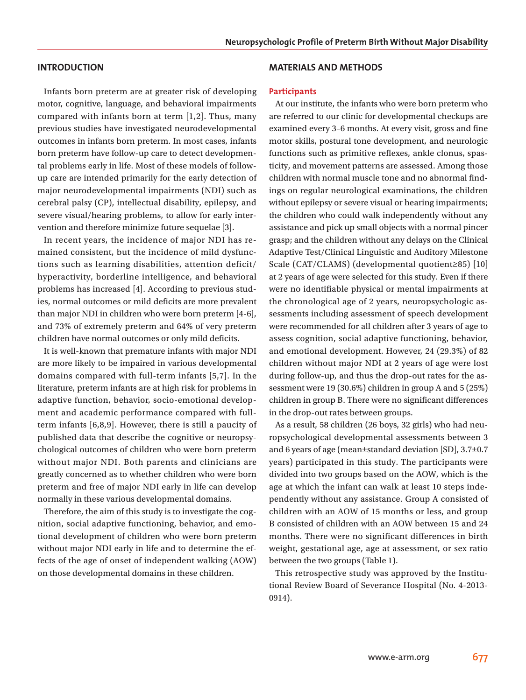#### **INTRODUCTION**

Infants born preterm are at greater risk of developing motor, cognitive, language, and behavioral impairments compared with infants born at term [1,2]. Thus, many previous studies have investigated neurodevelopmental outcomes in infants born preterm. In most cases, infants born preterm have follow-up care to detect developmental problems early in life. Most of these models of followup care are intended primarily for the early detection of major neurodevelopmental impairments (NDI) such as cerebral palsy (CP), intellectual disability, epilepsy, and severe visual/hearing problems, to allow for early intervention and therefore minimize future sequelae [3].

In recent years, the incidence of major NDI has remained consistent, but the incidence of mild dysfunctions such as learning disabilities, attention deficit/ hyperactivity, borderline intelligence, and behavioral problems has increased [4]. According to previous studies, normal outcomes or mild deficits are more prevalent than major NDI in children who were born preterm [4-6], and 73% of extremely preterm and 64% of very preterm children have normal outcomes or only mild deficits.

It is well-known that premature infants with major NDI are more likely to be impaired in various developmental domains compared with full-term infants [5,7]. In the literature, preterm infants are at high risk for problems in adaptive function, behavior, socio-emotional development and academic performance compared with fullterm infants [6,8,9]. However, there is still a paucity of published data that describe the cognitive or neuropsychological outcomes of children who were born preterm without major NDI. Both parents and clinicians are greatly concerned as to whether children who were born preterm and free of major NDI early in life can develop normally in these various developmental domains.

Therefore, the aim of this study is to investigate the cognition, social adaptive functioning, behavior, and emotional development of children who were born preterm without major NDI early in life and to determine the effects of the age of onset of independent walking (AOW) on those developmental domains in these children.

#### **MATERIALS AND METHODS**

#### **Participants**

At our institute, the infants who were born preterm who are referred to our clinic for developmental checkups are examined every 3–6 months. At every visit, gross and fine motor skills, postural tone development, and neurologic functions such as primitive reflexes, ankle clonus, spasticity, and movement patterns are assessed. Among those children with normal muscle tone and no abnormal findings on regular neurological examinations, the children without epilepsy or severe visual or hearing impairments; the children who could walk independently without any assistance and pick up small objects with a normal pincer grasp; and the children without any delays on the Clinical Adaptive Test/Clinical Linguistic and Auditory Milestone Scale (CAT/CLAMS) (developmental quotient≥85) [10] at 2 years of age were selected for this study. Even if there were no identifiable physical or mental impairments at the chronological age of 2 years, neuropsychologic assessments including assessment of speech development were recommended for all children after 3 years of age to assess cognition, social adaptive functioning, behavior, and emotional development. However, 24 (29.3%) of 82 children without major NDI at 2 years of age were lost during follow-up, and thus the drop-out rates for the assessment were 19 (30.6%) children in group A and 5 (25%) children in group B. There were no significant differences in the drop-out rates between groups.

As a result, 58 children (26 boys, 32 girls) who had neuropsychological developmental assessments between 3 and 6 years of age (mean±standard deviation [SD], 3.7±0.7 years) participated in this study. The participants were divided into two groups based on the AOW, which is the age at which the infant can walk at least 10 steps independently without any assistance. Group A consisted of children with an AOW of 15 months or less, and group B consisted of children with an AOW between 15 and 24 months. There were no significant differences in birth weight, gestational age, age at assessment, or sex ratio between the two groups (Table 1).

This retrospective study was approved by the Institutional Review Board of Severance Hospital (No. 4-2013- 0914).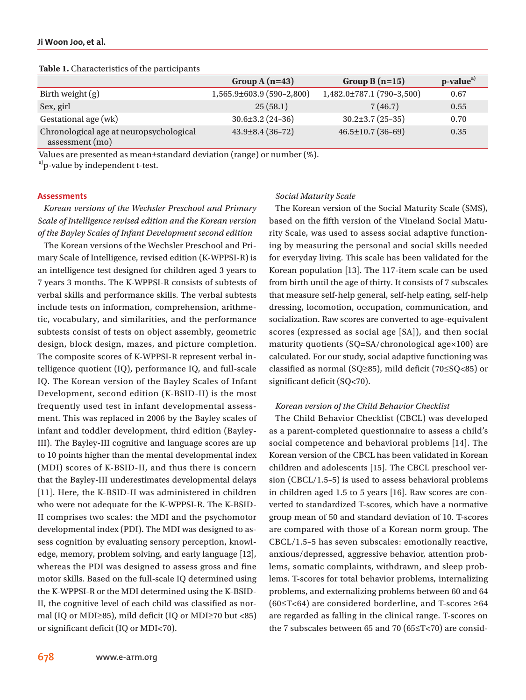|                                                            | Group A $(n=43)$               | Group B $(n=15)$          | $p-valuea$ |
|------------------------------------------------------------|--------------------------------|---------------------------|------------|
| Birth weight $(g)$                                         | $1,565.9\pm 603.9$ (590-2,800) | 1,482.0±787.1 (790-3,500) | 0.67       |
| Sex, girl                                                  | 25(58.1)                       | 7(46.7)                   | 0.55       |
| Gestational age (wk)                                       | $30.6 \pm 3.2$ (24-36)         | $30.2 \pm 3.7(25 - 35)$   | 0.70       |
| Chronological age at neuropsychological<br>assessment (mo) | $43.9 \pm 8.4$ (36-72)         | $46.5 \pm 10.7$ (36-69)   | 0.35       |

#### **Table 1.** Characteristics of the participants

Values are presented as mean±standard deviation (range) or number (%).

<sup>a)</sup>p-value by independent t-test.

#### **Assessments**

*Korean versions of the Wechsler Preschool and Primary Scale of Intelligence revised edition and the Korean version of the Bayley Scales of Infant Development second edition*

The Korean versions of the Wechsler Preschool and Primary Scale of Intelligence, revised edition (K-WPPSI-R) is an intelligence test designed for children aged 3 years to 7 years 3 months. The K-WPPSI-R consists of subtests of verbal skills and performance skills. The verbal subtests include tests on information, comprehension, arithmetic, vocabulary, and similarities, and the performance subtests consist of tests on object assembly, geometric design, block design, mazes, and picture completion. The composite scores of K-WPPSI-R represent verbal intelligence quotient (IQ), performance IQ, and full-scale IQ. The Korean version of the Bayley Scales of Infant Development, second edition (K-BSID-II) is the most frequently used test in infant developmental assessment. This was replaced in 2006 by the Bayley scales of infant and toddler development, third edition (Bayley-III). The Bayley-III cognitive and language scores are up to 10 points higher than the mental developmental index (MDI) scores of K-BSID-II, and thus there is concern that the Bayley-III underestimates developmental delays [11]. Here, the K-BSID-II was administered in children who were not adequate for the K-WPPSI-R. The K-BSID-II comprises two scales: the MDI and the psychomotor developmental index (PDI). The MDI was designed to assess cognition by evaluating sensory perception, knowledge, memory, problem solving, and early language [12], whereas the PDI was designed to assess gross and fine motor skills. Based on the full-scale IQ determined using the K-WPPSI-R or the MDI determined using the K-BSID-II, the cognitive level of each child was classified as normal (IQ or MDI≥85), mild deficit (IQ or MDI≥70 but <85) or significant deficit (IQ or MDI<70).

#### *Social Maturity Scale*

The Korean version of the Social Maturity Scale (SMS), based on the fifth version of the Vineland Social Maturity Scale, was used to assess social adaptive functioning by measuring the personal and social skills needed for everyday living. This scale has been validated for the Korean population [13]. The 117-item scale can be used from birth until the age of thirty. It consists of 7 subscales that measure self-help general, self-help eating, self-help dressing, locomotion, occupation, communication, and socialization. Raw scores are converted to age-equivalent scores (expressed as social age [SA]), and then social maturity quotients (SQ=SA/chronological age×100) are calculated. For our study, social adaptive functioning was classified as normal (SQ≥85), mild deficit (70≤SQ<85) or significant deficit (SQ<70).

#### *Korean version of the Child Behavior Checklist*

The Child Behavior Checklist (CBCL) was developed as a parent-completed questionnaire to assess a child's social competence and behavioral problems [14]. The Korean version of the CBCL has been validated in Korean children and adolescents [15]. The CBCL preschool version (CBCL/1.5–5) is used to assess behavioral problems in children aged 1.5 to 5 years [16]. Raw scores are converted to standardized T-scores, which have a normative group mean of 50 and standard deviation of 10. T-scores are compared with those of a Korean norm group. The CBCL/1.5–5 has seven subscales: emotionally reactive, anxious/depressed, aggressive behavior, attention problems, somatic complaints, withdrawn, and sleep problems. T-scores for total behavior problems, internalizing problems, and externalizing problems between 60 and 64 (60≤T<64) are considered borderline, and T-scores ≥64 are regarded as falling in the clinical range. T-scores on the 7 subscales between 65 and 70 (65≤T<70) are consid-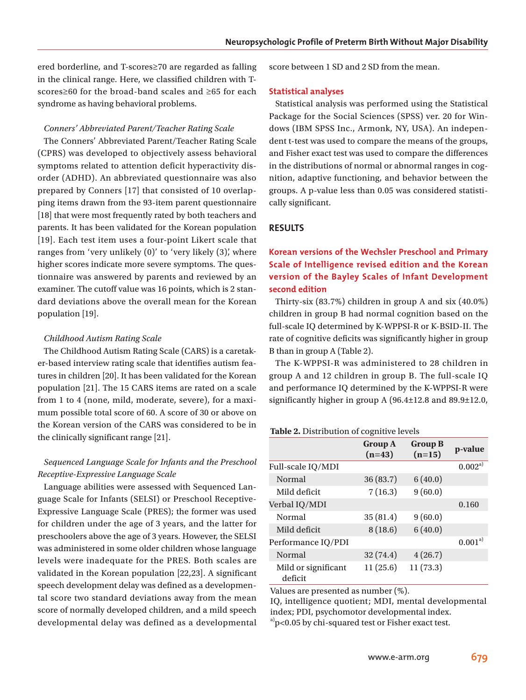ered borderline, and T-scores≥70 are regarded as falling in the clinical range. Here, we classified children with Tscores≥60 for the broad-band scales and ≥65 for each syndrome as having behavioral problems.

## *Conners' Abbreviated Parent/Teacher Rating Scale*

The Conners' Abbreviated Parent/Teacher Rating Scale (CPRS) was developed to objectively assess behavioral symptoms related to attention deficit hyperactivity disorder (ADHD). An abbreviated questionnaire was also prepared by Conners [17] that consisted of 10 overlapping items drawn from the 93-item parent questionnaire [18] that were most frequently rated by both teachers and parents. It has been validated for the Korean population [19]. Each test item uses a four-point Likert scale that ranges from 'very unlikely (0)' to 'very likely (3)', where higher scores indicate more severe symptoms. The questionnaire was answered by parents and reviewed by an examiner. The cutoff value was 16 points, which is 2 standard deviations above the overall mean for the Korean population [19].

#### *Childhood Autism Rating Scale*

The Childhood Autism Rating Scale (CARS) is a caretaker-based interview rating scale that identifies autism features in children [20]. It has been validated for the Korean population [21]. The 15 CARS items are rated on a scale from 1 to 4 (none, mild, moderate, severe), for a maximum possible total score of 60. A score of 30 or above on the Korean version of the CARS was considered to be in the clinically significant range [21].

# *Sequenced Language Scale for Infants and the Preschool Receptive-Expressive Language Scale*

Language abilities were assessed with Sequenced Language Scale for Infants (SELSI) or Preschool Receptive-Expressive Language Scale (PRES); the former was used for children under the age of 3 years, and the latter for preschoolers above the age of 3 years. However, the SELSI was administered in some older children whose language levels were inadequate for the PRES. Both scales are validated in the Korean population [22,23]. A significant speech development delay was defined as a developmental score two standard deviations away from the mean score of normally developed children, and a mild speech developmental delay was defined as a developmental

score between 1 SD and 2 SD from the mean.

#### **Statistical analyses**

Statistical analysis was performed using the Statistical Package for the Social Sciences (SPSS) ver. 20 for Windows (IBM SPSS Inc., Armonk, NY, USA). An independent t-test was used to compare the means of the groups, and Fisher exact test was used to compare the differences in the distributions of normal or abnormal ranges in cognition, adaptive functioning, and behavior between the groups. A p-value less than 0.05 was considered statistically significant.

## **RESULTS**

# **Korean versions of the Wechsler Preschool and Primary Scale of Intelligence revised edition and the Korean version of the Bayley Scales of Infant Development second edition**

Thirty-six (83.7%) children in group A and six (40.0%) children in group B had normal cognition based on the full-scale IQ determined by K-WPPSI-R or K-BSID-II. The rate of cognitive deficits was significantly higher in group B than in group A (Table 2).

The K-WPPSI-R was administered to 28 children in group A and 12 children in group B. The full-scale IQ and performance IQ determined by the K-WPPSI-R were significantly higher in group A (96.4±12.8 and 89.9±12.0,

#### **Table 2.** Distribution of cognitive levels

|                                | <b>Group A</b><br>$(n=43)$ | <b>Group B</b><br>$(n=15)$ | p-value     |
|--------------------------------|----------------------------|----------------------------|-------------|
| Full-scale IQ/MDI              |                            |                            | $0.002^{a}$ |
| Normal                         | 36(83.7)                   | 6(40.0)                    |             |
| Mild deficit                   | 7(16.3)                    | 9(60.0)                    |             |
| Verbal IQ/MDI                  |                            |                            | 0.160       |
| Normal                         | 35(81.4)                   | 9(60.0)                    |             |
| Mild deficit                   | 8(18.6)                    | 6(40.0)                    |             |
| Performance IQ/PDI             |                            |                            | $0.001^{a}$ |
| Normal                         | 32(74.4)                   | 4(26.7)                    |             |
| Mild or significant<br>deficit | 11(25.6)                   | 11(73.3)                   |             |

Values are presented as number (%).

IQ, intelligence quotient; MDI, mental developmental index; PDI, psychomotor developmental index.  $a$ <sup>2</sup> p<0.05 by chi-squared test or Fisher exact test.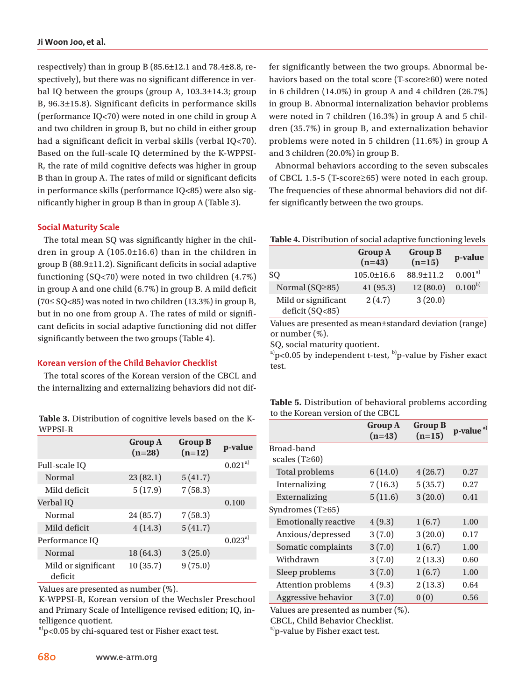respectively) than in group B (85.6±12.1 and 78.4±8.8, respectively), but there was no significant difference in verbal IQ between the groups (group A, 103.3±14.3; group B, 96.3±15.8). Significant deficits in performance skills (performance IQ<70) were noted in one child in group A and two children in group B, but no child in either group had a significant deficit in verbal skills (verbal IQ<70). Based on the full-scale IQ determined by the K-WPPSI-R, the rate of mild cognitive defects was higher in group B than in group A. The rates of mild or significant deficits in performance skills (performance IQ<85) were also significantly higher in group B than in group A (Table 3).

#### **Social Maturity Scale**

The total mean SQ was significantly higher in the children in group A (105.0±16.6) than in the children in group B (88.9±11.2). Significant deficits in social adaptive functioning (SQ<70) were noted in two children (4.7%) in group A and one child (6.7%) in group B. A mild deficit (70≤ SQ<85) was noted in two children (13.3%) in group B, but in no one from group A. The rates of mild or significant deficits in social adaptive functioning did not differ significantly between the two groups (Table 4).

# **Korean version of the Child Behavior Checklist**

The total scores of the Korean version of the CBCL and the internalizing and externalizing behaviors did not dif-

**Table 3.** Distribution of cognitive levels based on the K-WPPSI-R

|                                | <b>Group A</b><br>$(n=28)$ | <b>Group B</b><br>$(n=12)$ | p-value      |
|--------------------------------|----------------------------|----------------------------|--------------|
| Full-scale IO                  |                            |                            | $0.021^{a)}$ |
| Normal                         | 23(82.1)                   | 5(41.7)                    |              |
| Mild deficit                   | 5(17.9)                    | 7(58.3)                    |              |
| Verbal IO                      |                            |                            | 0.100        |
| Normal                         | 24(85.7)                   | 7(58.3)                    |              |
| Mild deficit                   | 4(14.3)                    | 5(41.7)                    |              |
| Performance IQ                 |                            |                            | $0.023^{a}$  |
| Normal                         | 18 (64.3)                  | 3(25.0)                    |              |
| Mild or significant<br>deficit | 10(35.7)                   | 9(75.0)                    |              |

Values are presented as number (%).

K-WPPSI-R, Korean version of the Wechsler Preschool and Primary Scale of Intelligence revised edition; IQ, intelligence quotient.

 $a<sup>3</sup>p<0.05$  by chi-squared test or Fisher exact test.

fer significantly between the two groups. Abnormal behaviors based on the total score (T-score≥60) were noted in 6 children (14.0%) in group A and 4 children (26.7%) in group B. Abnormal internalization behavior problems were noted in 7 children (16.3%) in group A and 5 children (35.7%) in group B, and externalization behavior problems were noted in 5 children (11.6%) in group A and 3 children (20.0%) in group B.

Abnormal behaviors according to the seven subscales of CBCL 1.5-5 (T-score≥65) were noted in each group. The frequencies of these abnormal behaviors did not differ significantly between the two groups.

**Table 4.** Distribution of social adaptive functioning levels

|                                        | <b>Group A</b><br>$(n=43)$ | <b>Group B</b><br>$(n=15)$ | p-value          |
|----------------------------------------|----------------------------|----------------------------|------------------|
| SO                                     | $105.0 \pm 16.6$           | $88.9 \pm 11.2$            | $0.001^\text{a}$ |
| Normal ( $SQ \geq 85$ )                | 41(95.3)                   | 12(80.0)                   | $0.100^{b}$      |
| Mild or significant<br>deficit (SQ<85) | 2(4.7)                     | 3(20.0)                    |                  |

Values are presented as mean±standard deviation (range) or number (%).

SQ, social maturity quotient.

 $a)$  p<0.05 by independent t-test,  $b)$  p-value by Fisher exact test.

**Table 5.** Distribution of behavioral problems according to the Korean version of the CBCL

|                                   | <b>Group A</b><br>$(n=43)$ | <b>Group B</b><br>$(n=15)$ | p-value <sup>a)</sup> |
|-----------------------------------|----------------------------|----------------------------|-----------------------|
| Broad-band<br>scales $(T\geq 60)$ |                            |                            |                       |
| Total problems                    | 6(14.0)                    | 4(26.7)                    | 0.27                  |
| Internalizing                     | 7(16.3)                    | 5(35.7)                    | 0.27                  |
| Externalizing                     | 5(11.6)                    | 3(20.0)                    | 0.41                  |
| Syndromes $(T\geq 65)$            |                            |                            |                       |
| <b>Emotionally reactive</b>       | 4(9.3)                     | 1(6.7)                     | 1.00                  |
| Anxious/depressed                 | 3(7.0)                     | 3(20.0)                    | 0.17                  |
| Somatic complaints                | 3(7.0)                     | 1(6.7)                     | 1.00                  |
| Withdrawn                         | 3(7.0)                     | 2(13.3)                    | 0.60                  |
| Sleep problems                    | 3(7.0)                     | 1(6.7)                     | 1.00                  |
| <b>Attention problems</b>         | 4(9.3)                     | 2(13.3)                    | 0.64                  |
| Aggressive behavior               | 3(7.0)                     | 0(0)                       | 0.56                  |

Values are presented as number (%).

CBCL, Child Behavior Checklist.

<sup>a)</sup>p-value by Fisher exact test.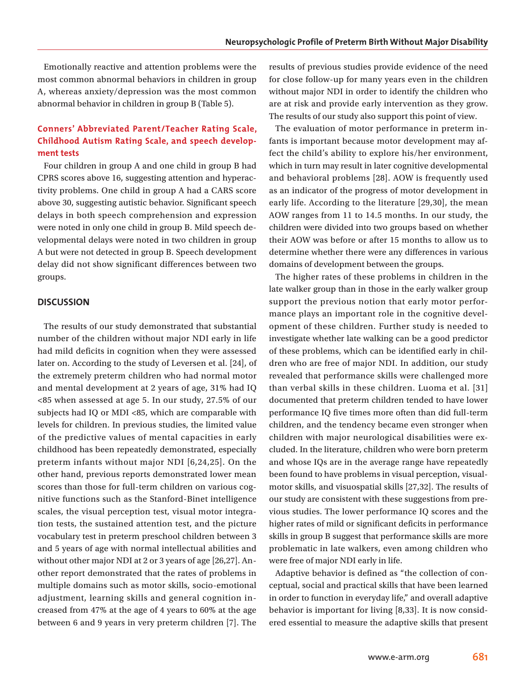Emotionally reactive and attention problems were the most common abnormal behaviors in children in group A, whereas anxiety/depression was the most common abnormal behavior in children in group B (Table 5).

# **Conners' Abbreviated Parent/Teacher Rating Scale, Childhood Autism Rating Scale, and speech development tests**

Four children in group A and one child in group B had CPRS scores above 16, suggesting attention and hyperactivity problems. One child in group A had a CARS score above 30, suggesting autistic behavior. Significant speech delays in both speech comprehension and expression were noted in only one child in group B. Mild speech developmental delays were noted in two children in group A but were not detected in group B. Speech development delay did not show significant differences between two groups.

#### **DISCUSSION**

The results of our study demonstrated that substantial number of the children without major NDI early in life had mild deficits in cognition when they were assessed later on. According to the study of Leversen et al. [24], of the extremely preterm children who had normal motor and mental development at 2 years of age, 31% had IQ <85 when assessed at age 5. In our study, 27.5% of our subjects had IQ or MDI <85, which are comparable with levels for children. In previous studies, the limited value of the predictive values of mental capacities in early childhood has been repeatedly demonstrated, especially preterm infants without major NDI [6,24,25]. On the other hand, previous reports demonstrated lower mean scores than those for full-term children on various cognitive functions such as the Stanford-Binet intelligence scales, the visual perception test, visual motor integration tests, the sustained attention test, and the picture vocabulary test in preterm preschool children between 3 and 5 years of age with normal intellectual abilities and without other major NDI at 2 or 3 years of age [26,27]. Another report demonstrated that the rates of problems in multiple domains such as motor skills, socio-emotional adjustment, learning skills and general cognition increased from 47% at the age of 4 years to 60% at the age between 6 and 9 years in very preterm children [7]. The results of previous studies provide evidence of the need for close follow-up for many years even in the children without major NDI in order to identify the children who are at risk and provide early intervention as they grow. The results of our study also support this point of view.

The evaluation of motor performance in preterm infants is important because motor development may affect the child's ability to explore his/her environment, which in turn may result in later cognitive developmental and behavioral problems [28]. AOW is frequently used as an indicator of the progress of motor development in early life. According to the literature [29,30], the mean AOW ranges from 11 to 14.5 months. In our study, the children were divided into two groups based on whether their AOW was before or after 15 months to allow us to determine whether there were any differences in various domains of development between the groups.

The higher rates of these problems in children in the late walker group than in those in the early walker group support the previous notion that early motor performance plays an important role in the cognitive development of these children. Further study is needed to investigate whether late walking can be a good predictor of these problems, which can be identified early in children who are free of major NDI. In addition, our study revealed that performance skills were challenged more than verbal skills in these children. Luoma et al. [31] documented that preterm children tended to have lower performance IQ five times more often than did full-term children, and the tendency became even stronger when children with major neurological disabilities were excluded. In the literature, children who were born preterm and whose IQs are in the average range have repeatedly been found to have problems in visual perception, visualmotor skills, and visuospatial skills [27,32]. The results of our study are consistent with these suggestions from previous studies. The lower performance IQ scores and the higher rates of mild or significant deficits in performance skills in group B suggest that performance skills are more problematic in late walkers, even among children who were free of major NDI early in life.

Adaptive behavior is defined as "the collection of conceptual, social and practical skills that have been learned in order to function in everyday life," and overall adaptive behavior is important for living [8,33]. It is now considered essential to measure the adaptive skills that present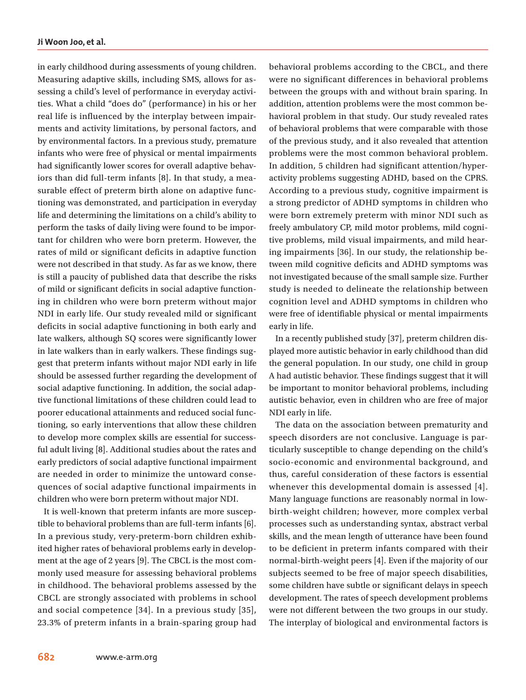in early childhood during assessments of young children. Measuring adaptive skills, including SMS, allows for assessing a child's level of performance in everyday activities. What a child "does do" (performance) in his or her real life is influenced by the interplay between impairments and activity limitations, by personal factors, and by environmental factors. In a previous study, premature infants who were free of physical or mental impairments had significantly lower scores for overall adaptive behaviors than did full-term infants [8]. In that study, a measurable effect of preterm birth alone on adaptive functioning was demonstrated, and participation in everyday life and determining the limitations on a child's ability to perform the tasks of daily living were found to be important for children who were born preterm. However, the rates of mild or significant deficits in adaptive function were not described in that study. As far as we know, there is still a paucity of published data that describe the risks of mild or significant deficits in social adaptive functioning in children who were born preterm without major NDI in early life. Our study revealed mild or significant deficits in social adaptive functioning in both early and late walkers, although SQ scores were significantly lower in late walkers than in early walkers. These findings suggest that preterm infants without major NDI early in life should be assessed further regarding the development of social adaptive functioning. In addition, the social adaptive functional limitations of these children could lead to poorer educational attainments and reduced social functioning, so early interventions that allow these children to develop more complex skills are essential for successful adult living [8]. Additional studies about the rates and early predictors of social adaptive functional impairment are needed in order to minimize the untoward consequences of social adaptive functional impairments in children who were born preterm without major NDI.

It is well-known that preterm infants are more susceptible to behavioral problems than are full-term infants [6]. In a previous study, very-preterm-born children exhibited higher rates of behavioral problems early in development at the age of 2 years [9]. The CBCL is the most commonly used measure for assessing behavioral problems in childhood. The behavioral problems assessed by the CBCL are strongly associated with problems in school and social competence [34]. In a previous study [35], 23.3% of preterm infants in a brain-sparing group had behavioral problems according to the CBCL, and there were no significant differences in behavioral problems between the groups with and without brain sparing. In addition, attention problems were the most common behavioral problem in that study. Our study revealed rates of behavioral problems that were comparable with those of the previous study, and it also revealed that attention problems were the most common behavioral problem. In addition, 5 children had significant attention/hyperactivity problems suggesting ADHD, based on the CPRS. According to a previous study, cognitive impairment is a strong predictor of ADHD symptoms in children who were born extremely preterm with minor NDI such as freely ambulatory CP, mild motor problems, mild cognitive problems, mild visual impairments, and mild hearing impairments [36]. In our study, the relationship between mild cognitive deficits and ADHD symptoms was not investigated because of the small sample size. Further study is needed to delineate the relationship between cognition level and ADHD symptoms in children who were free of identifiable physical or mental impairments early in life.

In a recently published study [37], preterm children displayed more autistic behavior in early childhood than did the general population. In our study, one child in group A had autistic behavior. These findings suggest that it will be important to monitor behavioral problems, including autistic behavior, even in children who are free of major NDI early in life.

The data on the association between prematurity and speech disorders are not conclusive. Language is particularly susceptible to change depending on the child's socio-economic and environmental background, and thus, careful consideration of these factors is essential whenever this developmental domain is assessed [4]. Many language functions are reasonably normal in lowbirth-weight children; however, more complex verbal processes such as understanding syntax, abstract verbal skills, and the mean length of utterance have been found to be deficient in preterm infants compared with their normal-birth-weight peers [4]. Even if the majority of our subjects seemed to be free of major speech disabilities, some children have subtle or significant delays in speech development. The rates of speech development problems were not different between the two groups in our study. The interplay of biological and environmental factors is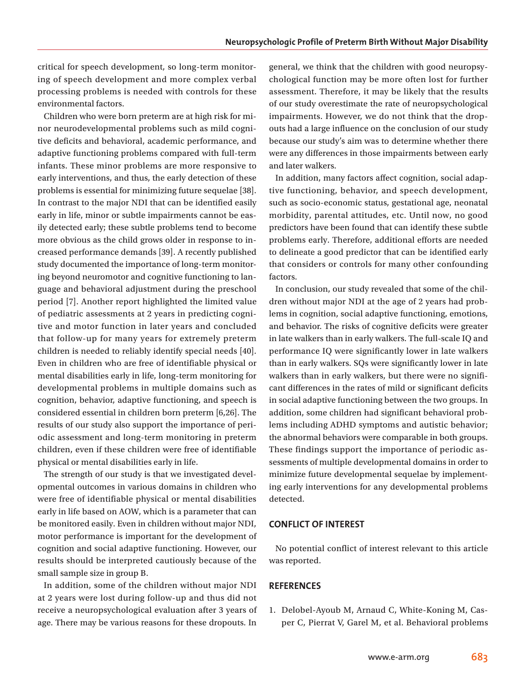critical for speech development, so long-term monitoring of speech development and more complex verbal processing problems is needed with controls for these environmental factors.

Children who were born preterm are at high risk for minor neurodevelopmental problems such as mild cognitive deficits and behavioral, academic performance, and adaptive functioning problems compared with full-term infants. These minor problems are more responsive to early interventions, and thus, the early detection of these problems is essential for minimizing future sequelae [38]. In contrast to the major NDI that can be identified easily early in life, minor or subtle impairments cannot be easily detected early; these subtle problems tend to become more obvious as the child grows older in response to increased performance demands [39]. A recently published study documented the importance of long-term monitoring beyond neuromotor and cognitive functioning to language and behavioral adjustment during the preschool period [7]. Another report highlighted the limited value of pediatric assessments at 2 years in predicting cognitive and motor function in later years and concluded that follow-up for many years for extremely preterm children is needed to reliably identify special needs [40]. Even in children who are free of identifiable physical or mental disabilities early in life, long-term monitoring for developmental problems in multiple domains such as cognition, behavior, adaptive functioning, and speech is considered essential in children born preterm [6,26]. The results of our study also support the importance of periodic assessment and long-term monitoring in preterm children, even if these children were free of identifiable physical or mental disabilities early in life.

The strength of our study is that we investigated developmental outcomes in various domains in children who were free of identifiable physical or mental disabilities early in life based on AOW, which is a parameter that can be monitored easily. Even in children without major NDI, motor performance is important for the development of cognition and social adaptive functioning. However, our results should be interpreted cautiously because of the small sample size in group B.

In addition, some of the children without major NDI at 2 years were lost during follow-up and thus did not receive a neuropsychological evaluation after 3 years of age. There may be various reasons for these dropouts. In

general, we think that the children with good neuropsychological function may be more often lost for further assessment. Therefore, it may be likely that the results of our study overestimate the rate of neuropsychological impairments. However, we do not think that the dropouts had a large influence on the conclusion of our study because our study's aim was to determine whether there were any differences in those impairments between early and later walkers.

In addition, many factors affect cognition, social adaptive functioning, behavior, and speech development, such as socio-economic status, gestational age, neonatal morbidity, parental attitudes, etc. Until now, no good predictors have been found that can identify these subtle problems early. Therefore, additional efforts are needed to delineate a good predictor that can be identified early that considers or controls for many other confounding factors.

In conclusion, our study revealed that some of the children without major NDI at the age of 2 years had problems in cognition, social adaptive functioning, emotions, and behavior. The risks of cognitive deficits were greater in late walkers than in early walkers. The full-scale IQ and performance IQ were significantly lower in late walkers than in early walkers. SQs were significantly lower in late walkers than in early walkers, but there were no significant differences in the rates of mild or significant deficits in social adaptive functioning between the two groups. In addition, some children had significant behavioral problems including ADHD symptoms and autistic behavior; the abnormal behaviors were comparable in both groups. These findings support the importance of periodic assessments of multiple developmental domains in order to minimize future developmental sequelae by implementing early interventions for any developmental problems detected.

# **CONFLICT OF INTEREST**

No potential conflict of interest relevant to this article was reported.

# **REFERENCES**

1. Delobel-Ayoub M, Arnaud C, White-Koning M, Casper C, Pierrat V, Garel M, et al. Behavioral problems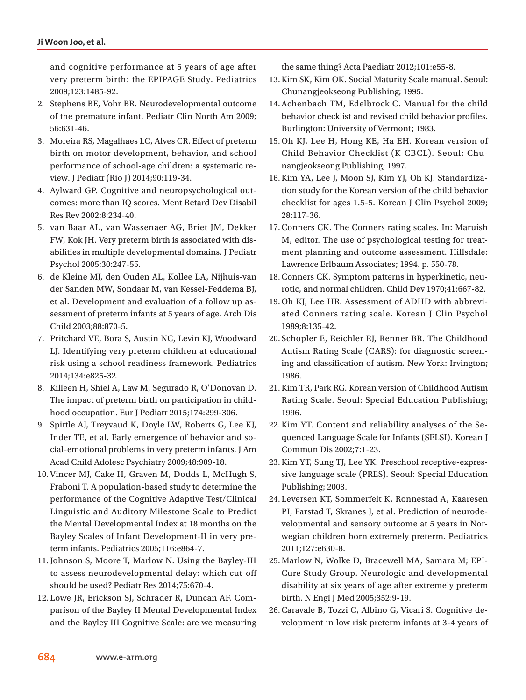and cognitive performance at 5 years of age after very preterm birth: the EPIPAGE Study. Pediatrics 2009;123:1485-92.

- 2. Stephens BE, Vohr BR. Neurodevelopmental outcome of the premature infant. Pediatr Clin North Am 2009; 56:631-46.
- 3. Moreira RS, Magalhaes LC, Alves CR. Effect of preterm birth on motor development, behavior, and school performance of school-age children: a systematic review. J Pediatr (Rio J) 2014;90:119-34.
- 4. Aylward GP. Cognitive and neuropsychological outcomes: more than IQ scores. Ment Retard Dev Disabil Res Rev 2002;8:234-40.
- 5. van Baar AL, van Wassenaer AG, Briet JM, Dekker FW, Kok JH. Very preterm birth is associated with disabilities in multiple developmental domains. J Pediatr Psychol 2005;30:247-55.
- 6. de Kleine MJ, den Ouden AL, Kollee LA, Nijhuis-van der Sanden MW, Sondaar M, van Kessel-Feddema BJ, et al. Development and evaluation of a follow up assessment of preterm infants at 5 years of age. Arch Dis Child 2003;88:870-5.
- 7. Pritchard VE, Bora S, Austin NC, Levin KJ, Woodward LJ. Identifying very preterm children at educational risk using a school readiness framework. Pediatrics 2014;134:e825-32.
- 8. Killeen H, Shiel A, Law M, Segurado R, O'Donovan D. The impact of preterm birth on participation in childhood occupation. Eur J Pediatr 2015;174:299-306.
- 9. Spittle AJ, Treyvaud K, Doyle LW, Roberts G, Lee KJ, Inder TE, et al. Early emergence of behavior and social-emotional problems in very preterm infants. J Am Acad Child Adolesc Psychiatry 2009;48:909-18.
- 10.Vincer MJ, Cake H, Graven M, Dodds L, McHugh S, Fraboni T. A population-based study to determine the performance of the Cognitive Adaptive Test/Clinical Linguistic and Auditory Milestone Scale to Predict the Mental Developmental Index at 18 months on the Bayley Scales of Infant Development-II in very preterm infants. Pediatrics 2005;116:e864-7.
- 11.Johnson S, Moore T, Marlow N. Using the Bayley-III to assess neurodevelopmental delay: which cut-off should be used? Pediatr Res 2014;75:670-4.
- 12. Lowe JR, Erickson SJ, Schrader R, Duncan AF. Comparison of the Bayley II Mental Developmental Index and the Bayley III Cognitive Scale: are we measuring

the same thing? Acta Paediatr 2012;101:e55-8.

- 13.Kim SK, Kim OK. Social Maturity Scale manual. Seoul: Chunangjeokseong Publishing; 1995.
- 14.Achenbach TM, Edelbrock C. Manual for the child behavior checklist and revised child behavior profiles. Burlington: University of Vermont; 1983.
- 15.Oh KJ, Lee H, Hong KE, Ha EH. Korean version of Child Behavior Checklist (K-CBCL). Seoul: Chunangjeokseong Publishing; 1997.
- 16.Kim YA, Lee J, Moon SJ, Kim YJ, Oh KJ. Standardization study for the Korean version of the child behavior checklist for ages 1.5-5. Korean J Clin Psychol 2009; 28:117-36.
- 17.Conners CK. The Conners rating scales. In: Maruish M, editor. The use of psychological testing for treatment planning and outcome assessment. Hillsdale: Lawrence Erlbaum Associates; 1994. p. 550-78.
- 18.Conners CK. Symptom patterns in hyperkinetic, neurotic, and normal children. Child Dev 1970;41:667-82.
- 19.Oh KJ, Lee HR. Assessment of ADHD with abbreviated Conners rating scale. Korean J Clin Psychol 1989;8:135-42.
- 20. Schopler E, Reichler RJ, Renner BR. The Childhood Autism Rating Scale (CARS): for diagnostic screening and classification of autism. New York: Irvington; 1986.
- 21.Kim TR, Park RG. Korean version of Childhood Autism Rating Scale. Seoul: Special Education Publishing; 1996.
- 22.Kim YT. Content and reliability analyses of the Sequenced Language Scale for Infants (SELSI). Korean J Commun Dis 2002;7:1-23.
- 23.Kim YT, Sung TJ, Lee YK. Preschool receptive-expressive language scale (PRES). Seoul: Special Education Publishing; 2003.
- 24. Leversen KT, Sommerfelt K, Ronnestad A, Kaaresen PI, Farstad T, Skranes J, et al. Prediction of neurodevelopmental and sensory outcome at 5 years in Norwegian children born extremely preterm. Pediatrics 2011;127:e630-8.
- 25.Marlow N, Wolke D, Bracewell MA, Samara M; EPI-Cure Study Group. Neurologic and developmental disability at six years of age after extremely preterm birth. N Engl J Med 2005;352:9-19.
- 26.Caravale B, Tozzi C, Albino G, Vicari S. Cognitive development in low risk preterm infants at 3-4 years of